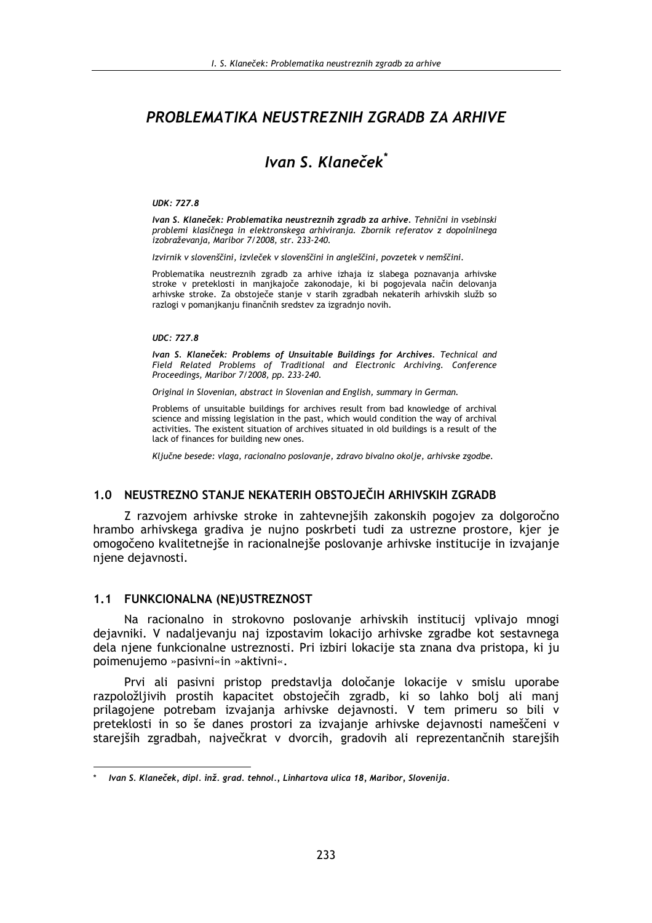# PROBLEMATIKA NEUSTREZNIH ZGRADB ZA ARHIVE

# Ivan S. Klaneček<sup>\*</sup>

#### **UDK: 727.8**

Ivan S. Klaneček: Problematika neustreznih zgradb za arhive. Tehnični in vsebinski problemi klasičnega in elektronskega arhiviranja. Zbornik referatov z dopolnilnega izobraževania, Maribor 7/2008, str. 233-240.

Izvirnik v slovenščini, izvleček v slovenščini in angleščini, povzetek v nemščini.

Problematika neustreznih zgradb za arhive izhaja iz slabega poznavanja arhivske stroke v preteklosti in manjkajoče zakonodaje, ki bi pogojevala način delovanja arhivske stroke. Za obstoječe stanje v starih zgradbah nekaterih arhivskih služb so razlogi v pomanjkanju finančnih sredstev za izgradnjo novih.

#### **UDC: 727.8**

Ivan S. Klaneček: Problems of Unsuitable Buildings for Archives. Technical and Field Related Problems of Traditional and Electronic Archiving. Conference Proceedings, Maribor 7/2008, pp. 233-240.

Original in Slovenian, abstract in Slovenian and English, summary in German.

Problems of unsuitable buildings for archives result from bad knowledge of archival science and missing legislation in the past, which would condition the way of archival activities. The existent situation of archives situated in old buildings is a result of the lack of finances for building new ones.

Ključne besede: vlaga, racionalno poslovanje, zdravo bivalno okolje, arhivske zgodbe.

#### 1.0 NEUSTREZNO STANJE NEKATERIH OBSTOJEČIH ARHIVSKIH ZGRADB

Z razvojem arhivske stroke in zahtevnejših zakonskih pogojev za dolgoročno hrambo arhivskega gradiva je nujno poskrbeti tudi za ustrezne prostore, kjer je omogočeno kvalitetnejše in racionalnejše poslovanje arhivske institucije in izvajanje njene dejavnosti.

#### 1.1 FUNKCIONALNA (NE)USTREZNOST

Na racionalno in strokovno poslovanje arhivskih institucij vplivajo mnogi dejavniki. V nadaljevanju naj izpostavim lokacijo arhivske zgradbe kot sestavnega dela njene funkcionalne ustreznosti. Pri izbiri lokacije sta znana dva pristopa, ki ju poimenujemo »pasivni«in »aktivni«.

Prvi ali pasivni pristop predstavlja določanje lokacije v smislu uporabe razpoložljivih prostih kapacitet obstoječih zgradb, ki so lahko bolj ali manj prilagojene potrebam izvajanja arhivske dejavnosti. V tem primeru so bili v preteklosti in so še danes prostori za izvajanje arhivske dejavnosti nameščeni v starejših zgradbah, največkrat v dvorcih, gradovih ali reprezentančnih starejših

Ivan S. Klaneček, dipl. inž. grad. tehnol., Linhartova ulica 18, Maribor, Slovenija.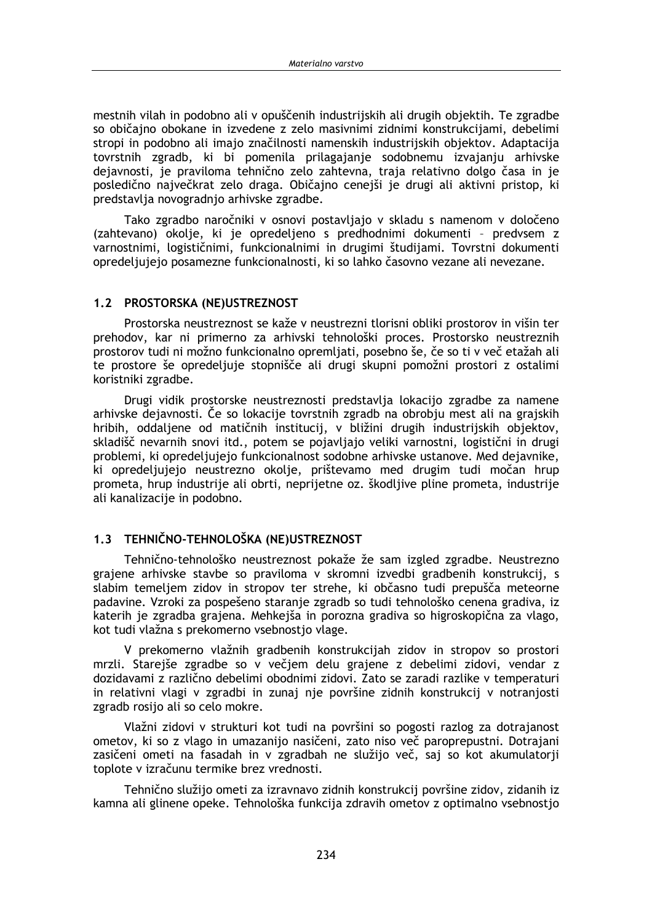mestnih vilah in podobno ali v opuščenih industrijskih ali drugih objektih. Te zgradbe so običajno obokane in izvedene z zelo masivnimi zidnimi konstrukcijami, debelimi stropi in podobno ali imaio značilnosti namenskih industrijskih objektov. Adaptacija tovrstnih zgradb, ki bi pomenila prilagajanje sodobnemu izvajanju arhivske dejavnosti, je praviloma tehnično zelo zahtevna, traja relativno dolgo časa in je posledično največkrat zelo draga. Običajno cenejši je drugi ali aktivni pristop, ki predstavlja novogradnjo arhivske zgradbe.

Tako zgradbo naročniki v osnovi postavljajo v skladu s namenom v določeno (zahtevano) okolje, ki je opredeljeno s predhodnimi dokumenti - predvsem z varnostnimi, logističnimi, funkcionalnimi in drugimi študijami. Tovrstni dokumenti opredeljujejo posamezne funkcionalnosti, ki so lahko časovno vezane ali nevezane.

### 1.2 PROSTORSKA (NE)USTREZNOST

Prostorska neustreznost se kaže v neustrezni tlorisni obliki prostorov in višin ter prehodov, kar ni primerno za arhivski tehnološki proces. Prostorsko neustreznih prostorov tudi ni možno funkcionalno opremljati, posebno še, če so ti v več etažah ali te prostore še opredeljuje stopnišče ali drugi skupni pomožni prostori z ostalimi koristniki zgradbe.

Drugi vidik prostorske neustreznosti predstavlja lokacijo zgradbe za namene arhivske dejavnosti. Če so lokacije tovrstnih zgradb na obrobju mest ali na grajskih hribih, oddaljene od matičnih institucij, v bližini drugih industrijskih objektov, skladišč nevarnih snovi itd., potem se pojavljajo veliki varnostni, logistični in drugi problemi, ki opredeljujejo funkcionalnost sodobne arhivske ustanove. Med dejavnike, ki opredeljujejo neustrezno okolje, prištevamo med drugim tudi močan hrup prometa, hrup industrije ali obrti, neprijetne oz. škodljive pline prometa, industrije ali kanalizacije in podobno.

# 1.3 TEHNIČNO-TEHNOLOŠKA (NE)USTREZNOST

Tehnično-tehnološko neustreznost pokaže že sam izgled zgradbe. Neustrezno grajene arhivske stavbe so praviloma v skromni izvedbi gradbenih konstrukcij, s slabim temeljem zidov in stropov ter strehe, ki občasno tudi prepušča meteorne padavine. Vzroki za pospešeno staranje zgradb so tudi tehnološko cenena gradiva, iz katerih je zgradba grajena. Mehkejša in porozna gradiva so higroskopična za vlago, kot tudi vlažna s prekomerno vsebnostio vlage.

V prekomerno vlažnih gradbenih konstrukcijah zidov in stropov so prostori mrzli. Starejše zgradbe so v večjem delu grajene z debelimi zidovi, vendar z dozidavami z različno debelimi obodnimi zidovi. Zato se zaradi razlike v temperaturi in relativni vlagi v zgradbi in zunaj nje površine zidnih konstrukcij v notranjosti zgradb rosijo ali so celo mokre.

Vlažni zidovi v strukturi kot tudi na površini so pogosti razlog za dotrajanost ometov, ki so z vlago in umazanijo nasičeni, zato niso več paroprepustni. Dotrajani zasičeni ometi na fasadah in v zgradbah ne služijo več, saj so kot akumulatorji toplote v izračunu termike brez vrednosti.

Tehnično služijo ometi za izravnavo zidnih konstrukcij površine zidov, zidanih iz kamna ali glinene opeke. Tehnološka funkcija zdravih ometov z optimalno vsebnostjo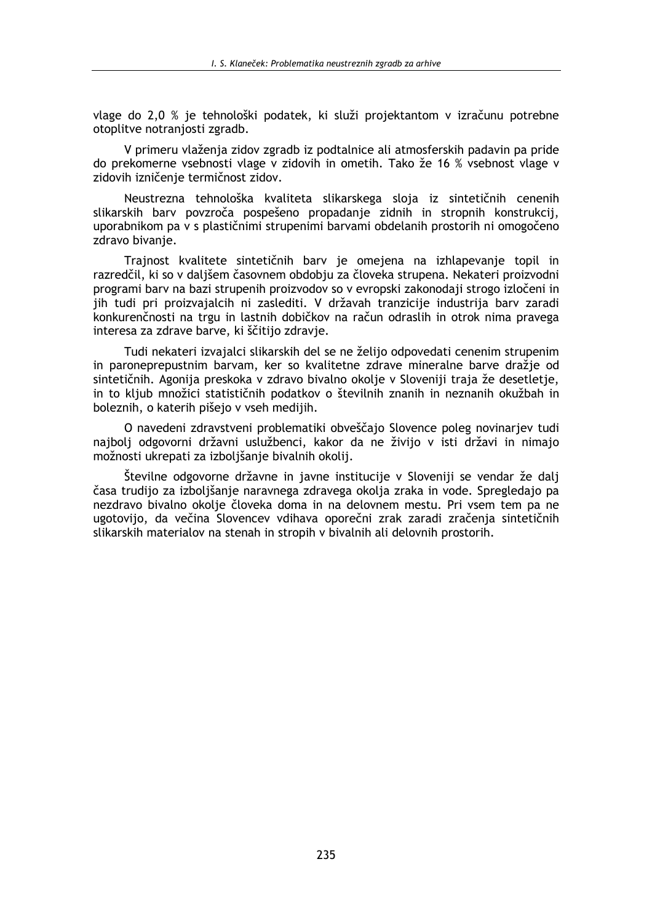vlage do 2.0 % je tehnološki podatek, ki služi projektantom v izračunu potrebne otoplitve notraniosti zgradb.

V primeru vlaženja zidov zgradb iz podtalnice ali atmosferskih padavin pa pride do prekomerne vsebnosti vlage v zidovih in ometih. Tako že 16 % vsebnost vlage v zidovih izničenie termičnost zidov.

Neustrezna tehnološka kvaliteta slikarskega sloja iz sintetičnih cenenih slikarskih barv povzroča pospešeno propadanje zidnih in stropnih konstrukcij, uporabnikom pa v s plastičnimi strupenimi barvami obdelanih prostorih ni omogočeno zdravo bivanje.

Trajnost kvalitete sintetičnih barv je omejena na izhlapevanje topil in razredčil, ki so v daljšem časovnem obdobju za človeka strupena. Nekateri proizvodni programi barv na bazi strupenih proizvodov so v evropski zakonodaji strogo izločeni in jih tudi pri proizvajalcih ni zaslediti. V državah tranzicije industrija barv zaradi konkurenčnosti na trgu in lastnih dobičkov na račun odraslih in otrok nima pravega interesa za zdrave barve, ki ščitijo zdravje.

Tudi nekateri izvajalci slikarskih del se ne želijo odpovedati cenenim strupenim in paroneprepustnim barvam, ker so kvalitetne zdrave mineralne barve dražje od sintetičnih. Agonija preskoka v zdravo bivalno okolje v Sloveniji traja že desetletje, in to kljub množici statističnih podatkov o številnih znanih in neznanih okužbah in boleznih, o katerih pišejo v vseh medijih.

O navedeni zdravstveni problematiki obveščajo Slovence poleg novinarjev tudi najbolj odgovorni državni uslužbenci, kakor da ne živijo v isti državi in nimajo možnosti ukrepati za izboljšanje bivalnih okolij.

Številne odgovorne državne in javne institucije v Sloveniji se vendar že dalj časa trudijo za izbolišanje naravnega zdravega okolja zraka in vode. Spregledajo pa nezdravo bivalno okolje človeka doma in na delovnem mestu. Pri vsem tem pa ne ugotovijo, da večina Slovencev vdihava oporečni zrak zaradi zračenja sintetičnih slikarskih materialov na stenah in stropih v bivalnih ali delovnih prostorih.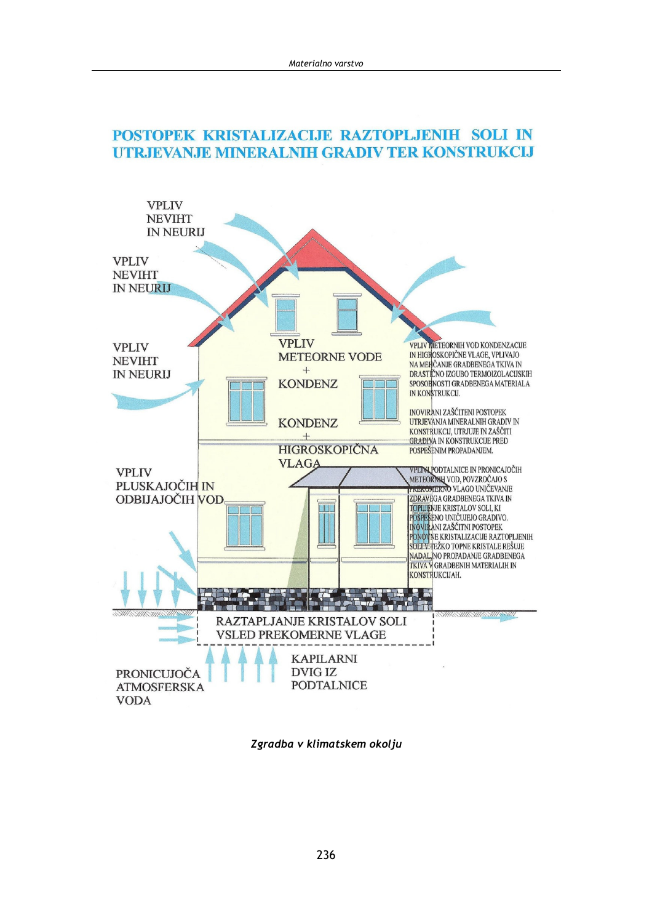# POSTOPEK KRISTALIZACIJE RAZTOPLJENIH SOLI IN UTRJEVANJE MINERALNIH GRADIV TER KONSTRUKCIJ



Zgradba v klimatskem okolju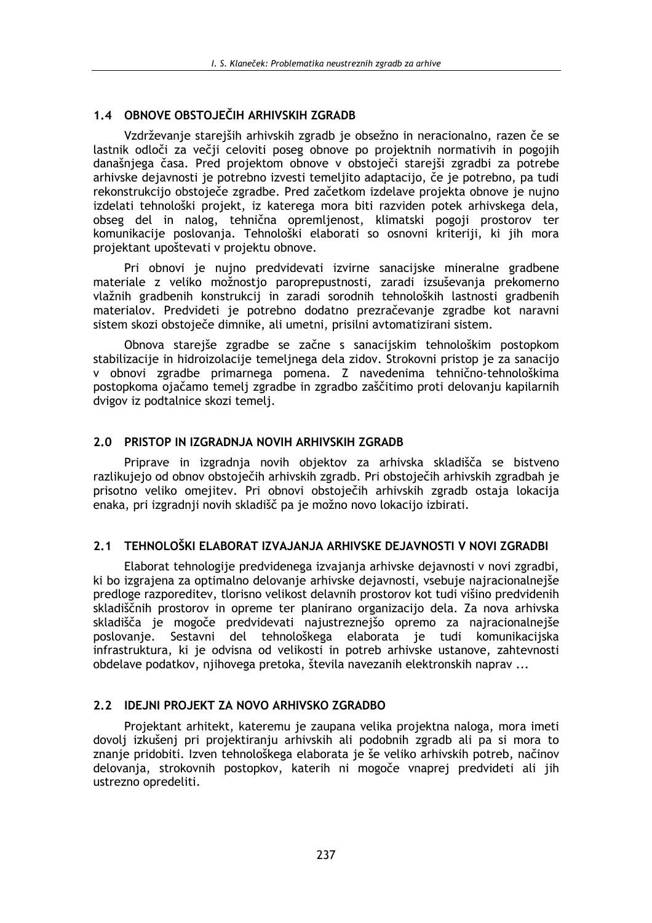# 1.4 OBNOVE OBSTOJEČIH ARHIVSKIH ZGRADB

Vzdrževanje starejših arhivskih zgradb je obsežno in neracionalno, razen če se lastnik odloči za večji celoviti poseg obnove po projektnih normativih in pogojih današniega časa. Pred projektom obnove v obstoječi starejši zgradbi za potrebe arhivske dejavnosti je potrebno izvesti temeljito adaptacijo, če je potrebno, pa tudi rekonstrukcijo obstoječe zgradbe. Pred začetkom izdelave projekta obnove je nujno izdelati tehnološki projekt, iz katerega mora biti razviden potek arhivskega dela, obseg del in nalog, tehnična opremljenost, klimatski pogoji prostorov ter komunikacije poslovanja. Tehnološki elaborati so osnovni kriteriji, ki jih mora projektant upoštevati v projektu obnove.

Pri obnovi je nujno predvidevati izvirne sanacijske mineralne gradbene materiale z veliko možnostjo paroprepustnosti, zaradi izsuševanja prekomerno vlažnih gradbenih konstrukcij in zaradi sorodnih tehnoloških lastnosti gradbenih materialov. Predvideti je potrebno dodatno prezračevanje zgradbe kot naravni sistem skozi obstoječe dimnike, ali umetni, prisilni avtomatizirani sistem.

Obnova starejše zgradbe se začne s sanacijskim tehnološkim postopkom stabilizacije in hidroizolacije temeljnega dela zidov. Strokovni pristop je za sanacijo v obnovi zgradbe primarnega pomena. Z navedenima tehnično-tehnološkima postopkoma ojačamo temelj zgradbe in zgradbo zaščitimo proti delovanju kapilarnih dvigov iz podtalnice skozi temelj.

# 2.0 PRISTOP IN IZGRADNJA NOVIH ARHIVSKIH ZGRADB

Priprave in izgradnja novih objektov za arhivska skladišča se bistveno razlikujejo od obnov obstoječih arhivskih zgradb. Pri obstoječih arhivskih zgradbah je prisotno veliko omejitev. Pri obnovi obstoječih arhivskih zgradb ostaja lokacija enaka, pri izgradnji novih skladišč pa je možno novo lokacijo izbirati.

# 2.1 TEHNOLOŠKI ELABORAT IZVAJANJA ARHIVSKE DEJAVNOSTI V NOVI ZGRADBI

Elaborat tehnologije predvidenega izvajanja arhivske dejavnosti v novi zgradbi. ki bo izgrajena za optimalno delovanje arhivske dejavnosti, vsebuje najracionalnejše predloge razporeditev, tlorisno velikost delavnih prostorov kot tudi višino predvidenih skladiščnih prostorov in opreme ter planirano organizacijo dela. Za nova arhivska skladišča je mogoče predvidevati najustreznejšo opremo za najracionalnejše poslovanje. Sestavni del tehnološkega elaborata je tudi komunikacijska infrastruktura, ki je odvisna od velikosti in potreb arhivske ustanove, zahtevnosti obdelave podatkov, njihovega pretoka, števila navezanih elektronskih naprav ...

# 2.2 IDEJNI PROJEKT ZA NOVO ARHIVSKO ZGRADBO

Projektant arhitekt, kateremu je zaupana velika projektna naloga, mora imeti dovolj izkušenj pri projektiranju arhivskih ali podobnih zgradb ali pa si mora to znanje pridobiti. Izven tehnološkega elaborata je še veliko arhivskih potreb, načinov delovania, strokovnih postopkov, katerih ni mogoče vnaprej predvideti ali jih ustrezno opredeliti.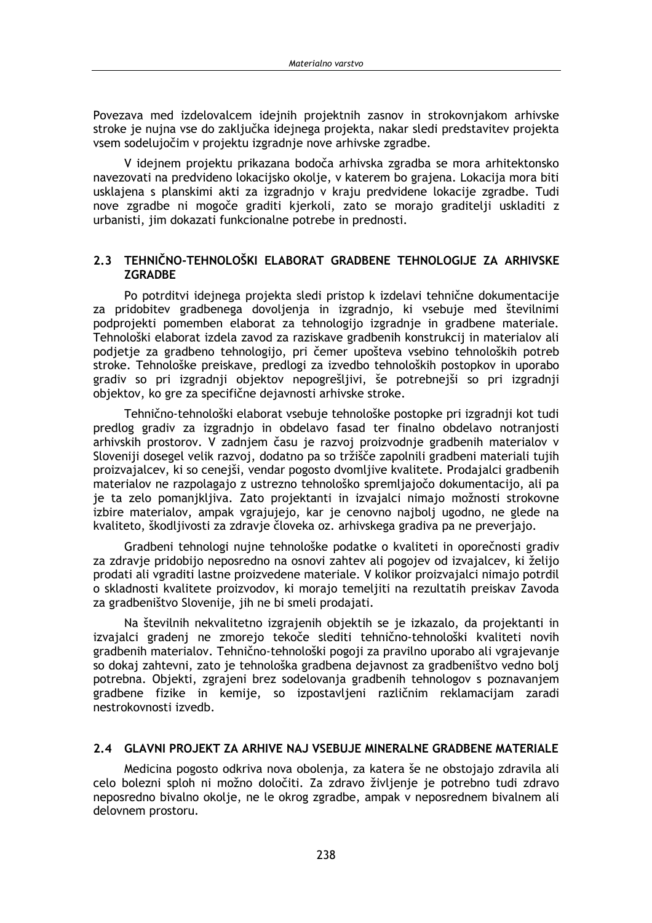Povezava med izdelovalcem ideinih projektnih zasnov in strokovniakom arhivske stroke je nujna vse do zaključka idejnega projekta, nakar sledi predstavitev projekta vsem sodelujočim v projektu izgradnie nove arhivske zgradbe.

V idejnem projektu prikazana bodoča arhivska zgradba se mora arhitektonsko navezovati na predvideno lokacijsko okolje, v katerem bo grajena. Lokacija mora biti usklajena s planskimi akti za izgradnjo v kraju predvidene lokacije zgradbe. Tudi nove zgradbe ni mogoče graditi kjerkoli, zato se morajo graditelji uskladiti z urbanisti, jim dokazati funkcionalne potrebe in prednosti.

### 2.3 TEHNIČNO-TEHNOLOŠKI ELABORAT GRADBENE TEHNOLOGIJE ZA ARHIVSKE **ZGRADBE**

Po potrditvi idejnega projekta sledi pristop k izdelavi tehnične dokumentacije za pridobitev gradbenega dovoljenja in izgradnjo, ki vsebuje med številnimi podprojekti pomemben elaborat za tehnologijo izgradnje in gradbene materiale. Tehnološki elaborat izdela zavod za raziskave gradbenih konstrukcij in materialov ali podjetje za gradbeno tehnologijo, pri čemer upošteva vsebino tehnoloških potreb stroke. Tehnološke preiskave, predlogi za izvedbo tehnoloških postopkov in uporabo gradiv so pri izgradnji objektov nepogrešljivi, še potrebnejši so pri izgradnji objektov, ko gre za specifične dejavnosti arhivske stroke.

Tehnično-tehnološki elaborat vsebuje tehnološke postopke pri izgradnji kot tudi predlog gradiv za izgradnjo in obdelavo fasad ter finalno obdelavo notranjosti arhivskih prostorov. V zadnjem času je razvoj proizvodnje gradbenih materialov v Sloveniji dosegel velik razvoj, dodatno pa so tržišče zapolnili gradbeni materiali tujih proizvajalcev, ki so cenejši, vendar pogosto dvomljive kvalitete. Prodajalci gradbenih materialov ne razpolagajo z ustrezno tehnološko spremljajočo dokumentacijo, ali pa je ta zelo pomanjkljiva. Zato projektanti in izvajalci nimajo možnosti strokovne izbire materialov, ampak vgrajujejo, kar je cenovno najbolj ugodno, ne glede na kvaliteto, škodlijvosti za zdravie človeka oz. arhivskega gradiva pa ne preveriajo.

Gradbeni tehnologi nujne tehnološke podatke o kvaliteti in oporečnosti gradiv za zdravje pridobijo neposredno na osnovi zahtev ali pogojev od izvajalcev, ki želijo prodati ali vgraditi lastne proizvedene materiale. V kolikor proizvajalci nimajo potrdil o skladnosti kvalitete proizvodov, ki morajo temeljiti na rezultatih preiskav Zavoda za gradbeništvo Slovenije, jih ne bi smelj prodajati.

Na številnih nekvalitetno izgrajenih objektih se je izkazalo, da projektanti in izvajalci gradenj ne zmorejo tekoče slediti tehnično-tehnološki kvaliteti novih gradbenih materialov. Tehnično-tehnološki pogoji za pravilno uporabo ali vgrajevanje so dokaj zahtevni, zato je tehnološka gradbena dejavnost za gradbeništvo vedno bolj potrebna. Objekti, zgrajeni brez sodelovanja gradbenih tehnologov s poznavanjem gradbene fizike in kemije, so izpostavljeni različnim reklamacijam zaradi nestrokovnosti izvedb.

#### 2.4 GLAVNI PROJEKT ZA ARHIVE NAJ VSEBUJE MINERALNE GRADBENE MATERIALE

Medicina pogosto odkriva nova obolenja, za katera še ne obstojajo zdravila ali celo bolezni sploh ni možno določiti. Za zdravo življenje je potrebno tudi zdravo neposredno bivalno okolje, ne le okrog zgradbe, ampak v neposrednem bivalnem ali delovnem prostoru.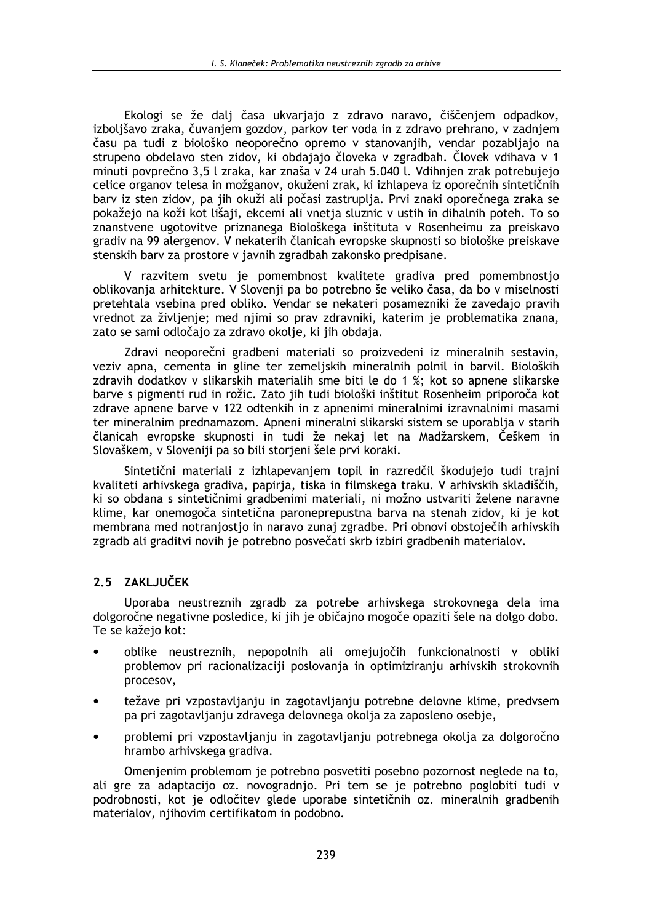Ekologi se že dali časa ukvariaio z zdravo naravo, čiščeniem odpadkov, izbolišavo zraka, čuvaniem gozdov, parkov ter voda in z zdravo prehrano, v zadniem času pa tudi z biološko neoporečno opremo v stanovanijh, vendar pozabliajo na strupeno obdelavo sten zidov, ki obdajajo človeka v zgradbah. Človek vdihava v 1 minuti povprečno 3,5 l zraka, kar znaša v 24 urah 5.040 l. Vdihnjen zrak potrebujejo celice organov telesa in možganov, okuženi zrak, ki izhlapeva iz oporečnih sintetičnih bary iz sten zidov, pa jih okuži ali počasi zastruplia. Prvi znaki oporečnega zraka se pokažejo na koži kot lišaji, ekcemi ali vnetja sluznic v ustih in dihalnih poteh. To so znanstvene ugotovitve priznanega Biološkega inštituta v Rosenheimu za preiskavo gradiv na 99 alergenov. V nekaterih članicah evropske skupnosti so biološke preiskave stenskih barv za prostore v javnih zgradbah zakonsko predpisane.

V razvitem svetu je pomembnost kvalitete gradiva pred pomembnostjo oblikovanja arhitekture. V Slovenji pa bo potrebno še veliko časa, da bo v miselnosti pretehtala vsebina pred obliko. Vendar se nekateri posamezniki že zavedajo pravih vrednot za življenje; med njimi so prav zdravniki, katerim je problematika znana, zato se sami odločajo za zdravo okolje, ki jih obdaja.

Zdravi neoporečni gradbeni materiali so proizvedeni iz mineralnih sestavin, veziv apna, cementa in gline ter zemeljskih mineralnih polnil in barvil. Bioloških zdravih dodatkov v slikarskih materialih sme biti le do 1 %; kot so apnene slikarske barve s pigmenti rud in rožic. Zato jih tudi biološki inštitut Rosenheim priporoča kot zdrave apnene barve v 122 odtenkih in z apnenimi mineralnimi izravnalnimi masami ter mineralnim prednamazom. Apneni mineralni slikarski sistem se uporablja v starih članicah evropske skupnosti in tudi že nekaj let na Madžarskem, Češkem in Slovaškem, v Sloveniji pa so bili storjeni šele prvi koraki.

Sintetični materiali z izhlapevaniem topil in razredčil škodujejo tudi trajni kvaliteti arhivskega gradiva, papirja, tiska in filmskega traku. V arhivskih skladiščih, ki so obdana s sintetičnimi gradbenimi materiali, ni možno ustvariti želene naravne klime, kar onemogoča sintetična paroneprepustna barva na stenah zidov, ki je kot membrana med notranjostjo in naravo zunaj zgradbe. Pri obnovi obstoječih arhivskih zgradb ali graditvi novih je potrebno posvečati skrb izbiri gradbenih materialov.

# 2.5 ZAKLJUČEK

Uporaba neustreznih zgradb za potrebe arhivskega strokovnega dela ima dolgoročne negativne posledice, ki jih je običajno mogoče opaziti šele na dolgo dobo. Te se kažejo kot:

- oblike neustreznih, nepopolnih ali omejujočih funkcionalnosti v obliki problemov pri racionalizaciji poslovanja in optimiziranju arhivskih strokovnih procesov,
- težave pri vzpostavljanju in zagotavljanju potrebne delovne klime, predvsem pa pri zagotavljanju zdravega delovnega okolja za zaposleno osebje,
- problemi pri vzpostavljanju in zagotavljanju potrebnega okolja za dolgoročno hrambo arhivskega gradiva.

Omenjenim problemom je potrebno posvetiti posebno pozornost neglede na to, ali gre za adaptacijo oz. novogradnjo. Pri tem se je potrebno poglobiti tudi v podrobnosti, kot je odločitev glede uporabe sintetičnih oz. mineralnih gradbenih materialov, njihovim certifikatom in podobno.